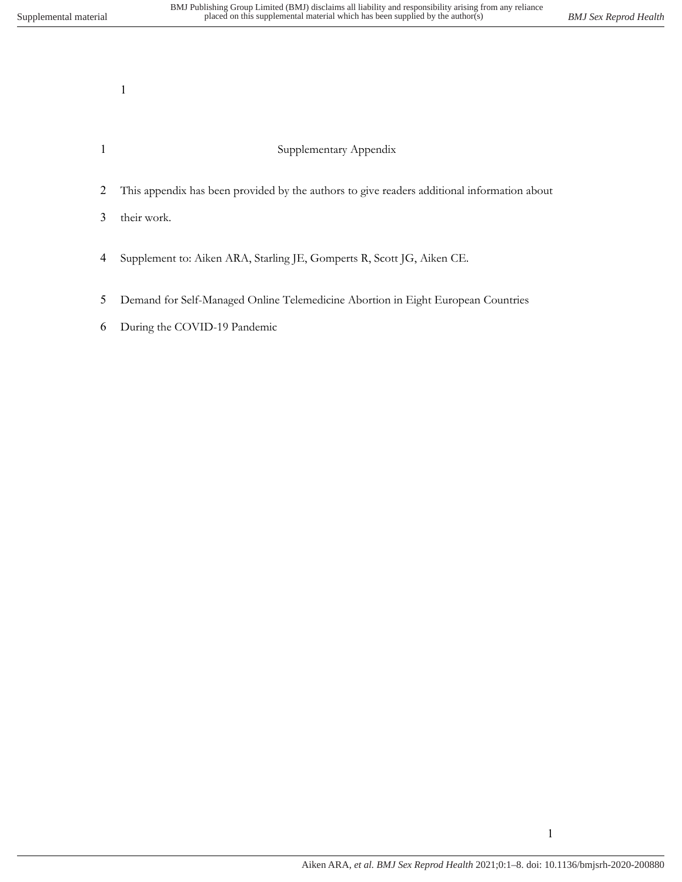## Supplementary Appendix

This appendix has been provided by the authors to give readers additional information about

their work.

- Supplement to: Aiken ARA, Starling JE, Gomperts R, Scott JG, Aiken CE.
- Demand for Self-Managed Online Telemedicine Abortion in Eight European Countries
- During the COVID-19 Pandemic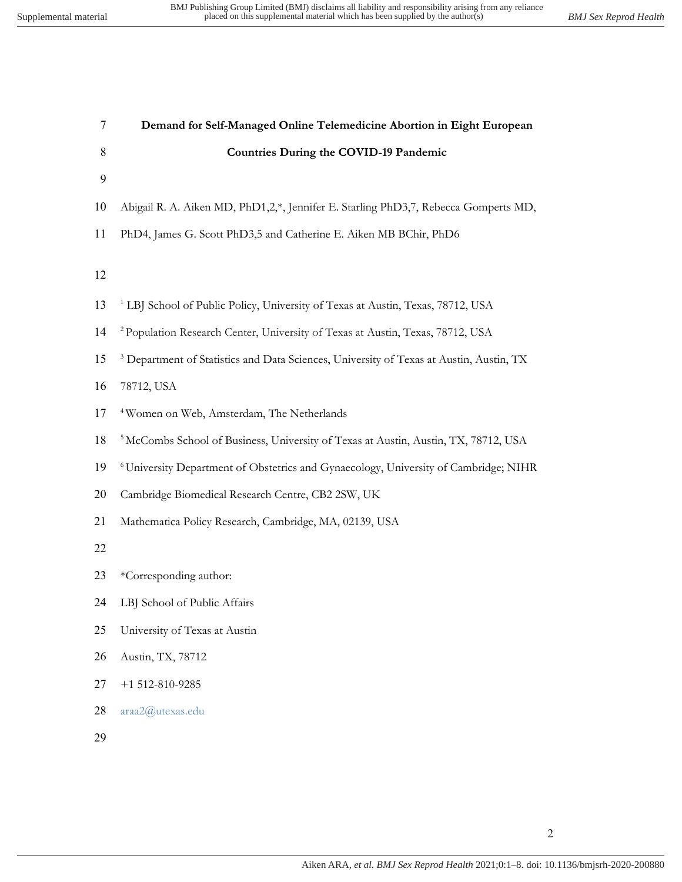| $\tau$ | Demand for Self-Managed Online Telemedicine Abortion in Eight European                             |
|--------|----------------------------------------------------------------------------------------------------|
| 8      | <b>Countries During the COVID-19 Pandemic</b>                                                      |
| 9      |                                                                                                    |
| 10     | Abigail R. A. Aiken MD, PhD1,2,*, Jennifer E. Starling PhD3,7, Rebecca Gomperts MD,                |
| 11     | PhD4, James G. Scott PhD3,5 and Catherine E. Aiken MB BChir, PhD6                                  |
|        |                                                                                                    |
| 12     |                                                                                                    |
| 13     | <sup>1</sup> LBJ School of Public Policy, University of Texas at Austin, Texas, 78712, USA         |
| 14     | <sup>2</sup> Population Research Center, University of Texas at Austin, Texas, 78712, USA          |
| 15     | <sup>3</sup> Department of Statistics and Data Sciences, University of Texas at Austin, Austin, TX |
| 16     | 78712, USA                                                                                         |
| 17     | <sup>4</sup> Women on Web, Amsterdam, The Netherlands                                              |
| 18     | <sup>5</sup> McCombs School of Business, University of Texas at Austin, Austin, TX, 78712, USA     |
| 19     | <sup>6</sup> University Department of Obstetrics and Gynaecology, University of Cambridge; NIHR    |
| 20     | Cambridge Biomedical Research Centre, CB2 2SW, UK                                                  |
| 21     | Mathematica Policy Research, Cambridge, MA, 02139, USA                                             |
| 22     |                                                                                                    |
| 23     | *Corresponding author:                                                                             |
| 24     | LBJ School of Public Affairs                                                                       |
| 25     | University of Texas at Austin                                                                      |
| 26     | Austin, TX, 78712                                                                                  |
| 27     | $+1$ 512-810-9285                                                                                  |
| 28     | araa2@utexas.edu                                                                                   |
| 29     |                                                                                                    |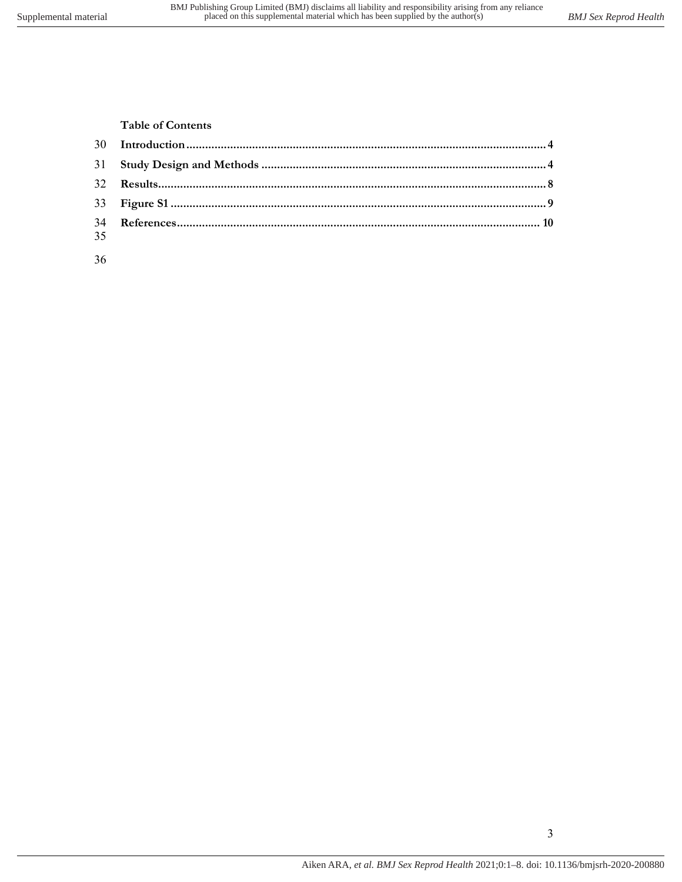**Table of Contents**

| 35 |  |
|----|--|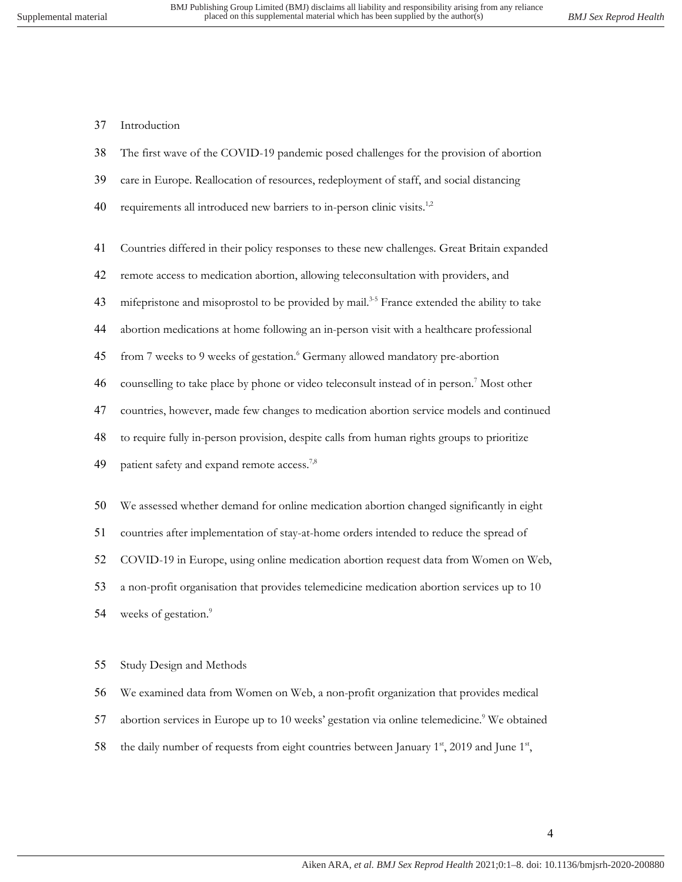Introduction

- The first wave of the COVID-19 pandemic posed challenges for the provision of abortion
- care in Europe. Reallocation of resources, redeployment of staff, and social distancing
- 40 requirements all introduced new barriers to in-person clinic visits.<sup>1,2</sup>
- Countries differed in their policy responses to these new challenges. Great Britain expanded
- remote access to medication abortion, allowing teleconsultation with providers, and
- 43 mifepristone and misoprostol to be provided by mail.<sup>3-5</sup> France extended the ability to take
- abortion medications at home following an in-person visit with a healthcare professional
- 45 from 7 weeks to 9 weeks of gestation.<sup>6</sup> Germany allowed mandatory pre-abortion
- 46 counselling to take place by phone or video teleconsult instead of in person.<sup>7</sup> Most other
- countries, however, made few changes to medication abortion service models and continued
- to require fully in-person provision, despite calls from human rights groups to prioritize
- 49 patient safety and expand remote access.<sup>7,8</sup>
- We assessed whether demand for online medication abortion changed significantly in eight
- countries after implementation of stay-at-home orders intended to reduce the spread of
- COVID-19 in Europe, using online medication abortion request data from Women on Web,

a non-profit organisation that provides telemedicine medication abortion services up to 10

weeks of gestation.<sup>9</sup> 

## Study Design and Methods

We examined data from Women on Web, a non-profit organization that provides medical

- 57 abortion services in Europe up to 10 weeks' gestation via online telemedicine.<sup>9</sup> We obtained
- 58 the daily number of requests from eight countries between January  $1^{st}$ , 2019 and June  $1^{st}$ ,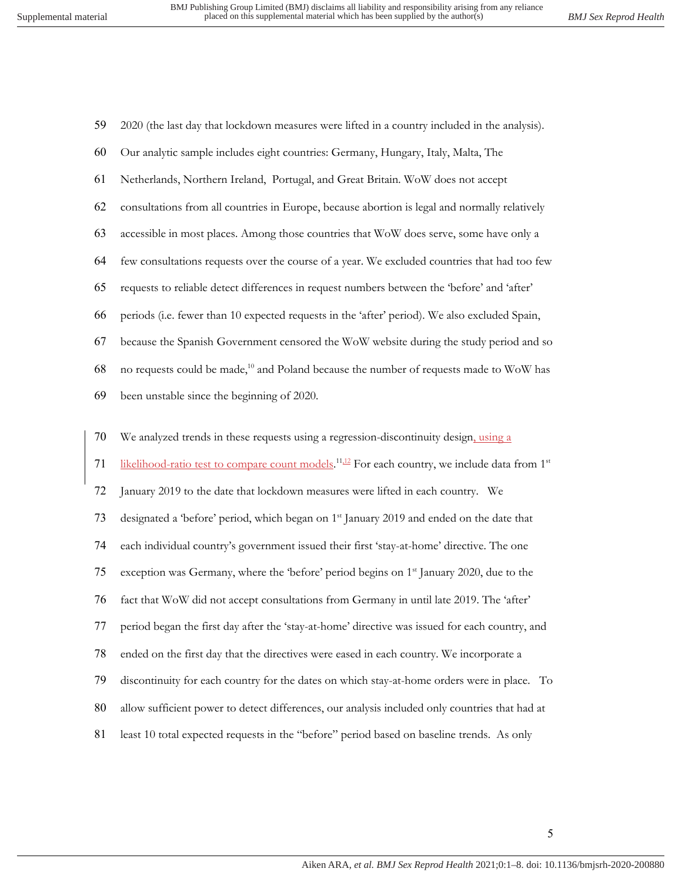2020 (the last day that lockdown measures were lifted in a country included in the analysis).

| 60 | Our analytic sample includes eight countries: Germany, Hungary, Italy, Malta, The                                      |
|----|------------------------------------------------------------------------------------------------------------------------|
| 61 | Netherlands, Northern Ireland, Portugal, and Great Britain. WoW does not accept                                        |
| 62 | consultations from all countries in Europe, because abortion is legal and normally relatively                          |
| 63 | accessible in most places. Among those countries that WoW does serve, some have only a                                 |
| 64 | few consultations requests over the course of a year. We excluded countries that had too few                           |
| 65 | requests to reliable detect differences in request numbers between the 'before' and 'after'                            |
| 66 | periods (i.e. fewer than 10 expected requests in the 'after' period). We also excluded Spain,                          |
| 67 | because the Spanish Government censored the WoW website during the study period and so                                 |
| 68 | no requests could be made, <sup>10</sup> and Poland because the number of requests made to WoW has                     |
| 69 | been unstable since the beginning of 2020.                                                                             |
|    |                                                                                                                        |
| 70 | We analyzed trends in these requests using a regression-discontinuity design, using a                                  |
| 71 | likelihood-ratio test to compare count models. <sup>11,12</sup> For each country, we include data from 1 <sup>st</sup> |
| 72 | January 2019 to the date that lockdown measures were lifted in each country. We                                        |
| 73 | designated a 'before' period, which began on 1 <sup>st</sup> January 2019 and ended on the date that                   |
| 74 | each individual country's government issued their first 'stay-at-home' directive. The one                              |
| 75 | exception was Germany, where the 'before' period begins on 1 <sup>st</sup> January 2020, due to the                    |
| 76 | fact that WoW did not accept consultations from Germany in until late 2019. The 'after'                                |
| 77 | period began the first day after the 'stay-at-home' directive was issued for each country, and                         |
| 78 | ended on the first day that the directives were eased in each country. We incorporate a                                |
| 79 | discontinuity for each country for the dates on which stay-at-home orders were in place. To                            |
| 80 | allow sufficient power to detect differences, our analysis included only countries that had at                         |
|    |                                                                                                                        |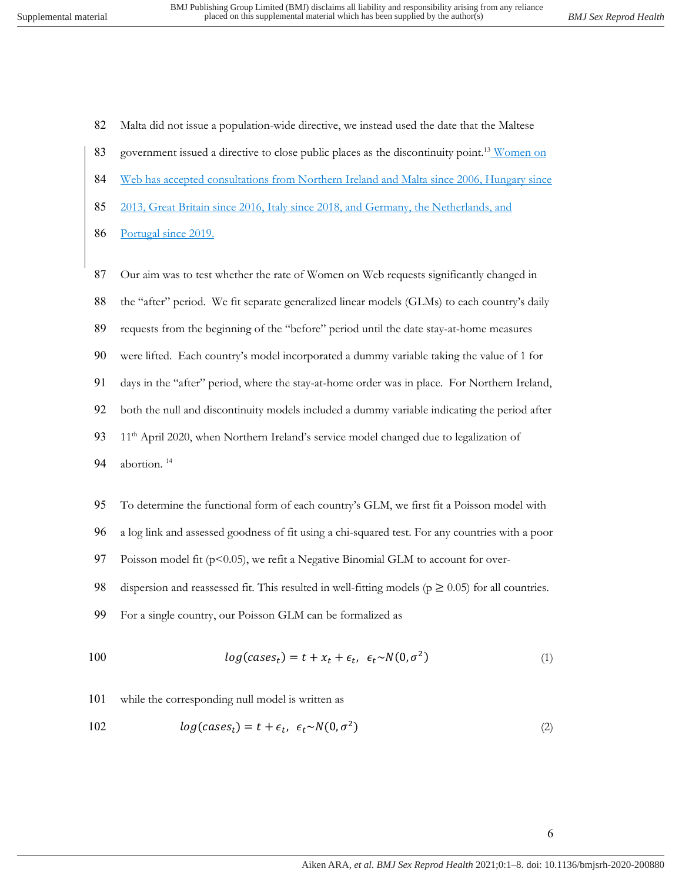82 Malta did not issue a population-wide directive, we instead used the date that the Maltese

- 83 government issued a directive to close public places as the discontinuity point.<sup>13</sup> Women on
- 84 Web has accepted consultations from Northern Ireland and Malta since 2006, Hungary since
- 85 2013, Great Britain since 2016, Italy since 2018, and Germany, the Netherlands, and
- 86 Portugal since 2019.
- 87 Our aim was to test whether the rate of Women on Web requests significantly changed in
- 88 the "after" period. We fit separate generalized linear models (GLMs) to each country's daily
- 89 requests from the beginning of the "before" period until the date stay-at-home measures
- 90 were lifted. Each country's model incorporated a dummy variable taking the value of 1 for
- 91 days in the "after" period, where the stay-at-home order was in place. For Northern Ireland,
- 92 both the null and discontinuity models included a dummy variable indicating the period after
- 93 11<sup>th</sup> April 2020, when Northern Ireland's service model changed due to legalization of
- 94 abortion.<sup>14</sup>
- 95 To determine the functional form of each country's GLM, we first fit a Poisson model with
- 96 a log link and assessed goodness of fit using a chi-squared test. For any countries with a poor
- 97 Poisson model fit (p<0.05), we refit a Negative Binomial GLM to account for over-

98 dispersion and reassessed fit. This resulted in well-fitting models ( $p \ge 0.05$ ) for all countries.

99 For a single country, our Poisson GLM can be formalized as

$$
log(cases_t) = t + x_t + \epsilon_t, \ \epsilon_t \sim N(0, \sigma^2)
$$
\n<sup>(1)</sup>

101 while the corresponding null model is written as

$$
log(cases_t) = t + \epsilon_t, \ \epsilon_t \sim N(0, \sigma^2)
$$
\n<sup>(2)</sup>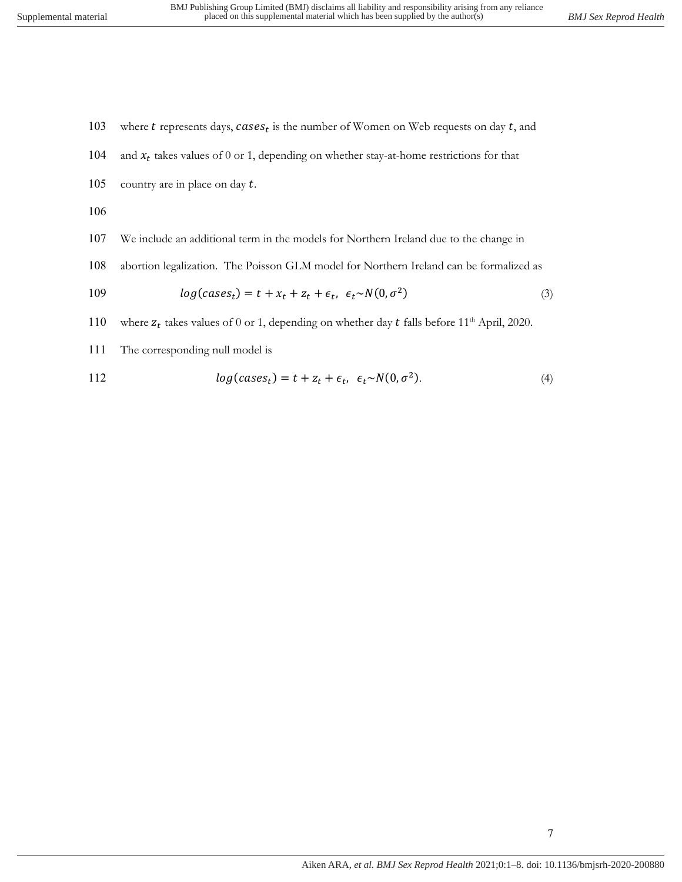103 where  $t$  represents days,  $cases_t$  is the number of Women on Web requests on day  $t$ , and 104 and  $x_t$  takes values of 0 or 1, depending on whether stay-at-home restrictions for that 105 country are in place on day  $t$ .

106

- 107 We include an additional term in the models for Northern Ireland due to the change in
- 108 abortion legalization. The Poisson GLM model for Northern Ireland can be formalized as

$$
log(cases_t) = t + x_t + z_t + \epsilon_t, \ \epsilon_t \sim N(0, \sigma^2)
$$
\n
$$
(3)
$$

110 where  $z_t$  takes values of 0 or 1, depending on whether day  $t$  falls before 11<sup>th</sup> April, 2020.

111 The corresponding null model is

112 
$$
log(cases_t) = t + z_t + \epsilon_t, \ \epsilon_t \sim N(0, \sigma^2).
$$
 (4)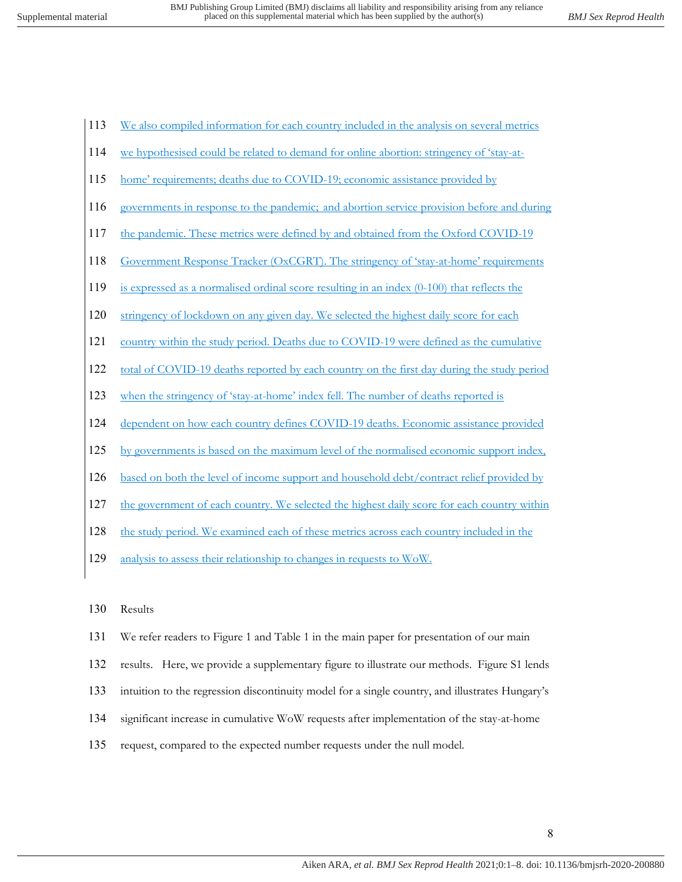- 113 We also compiled information for each country included in the analysis on several metrics
- 114 we hypothesised could be related to demand for online abortion: stringency of 'stay-at-
- 115 home' requirements; deaths due to COVID-19; economic assistance provided by
- 116 governments in response to the pandemic; and abortion service provision before and during
- 117 the pandemic. These metrics were defined by and obtained from the Oxford COVID-19
- 118 Government Response Tracker (OxCGRT). The stringency of 'stay-at-home' requirements
- 119 is expressed as a normalised ordinal score resulting in an index (0-100) that reflects the
- 120 stringency of lockdown on any given day. We selected the highest daily score for each
- 121 country within the study period. Deaths due to COVID-19 were defined as the cumulative
- 122 total of COVID-19 deaths reported by each country on the first day during the study period
- 123 when the stringency of 'stay-at-home' index fell. The number of deaths reported is
- 124 dependent on how each country defines COVID-19 deaths. Economic assistance provided
- 125 by governments is based on the maximum level of the normalised economic support index,
- 126 based on both the level of income support and household debt/contract relief provided by
- 127 the government of each country. We selected the highest daily score for each country within
- 128 the study period. We examined each of these metrics across each country included in the
- 129 analysis to assess their relationship to changes in requests to WoW.
- 130 Results
- 131 We refer readers to Figure 1 and Table 1 in the main paper for presentation of our main
- 132 results. Here, we provide a supplementary figure to illustrate our methods. Figure S1 lends
- 133 intuition to the regression discontinuity model for a single country, and illustrates Hungary's
- 134 significant increase in cumulative WoW requests after implementation of the stay-at-home
- 135 request, compared to the expected number requests under the null model.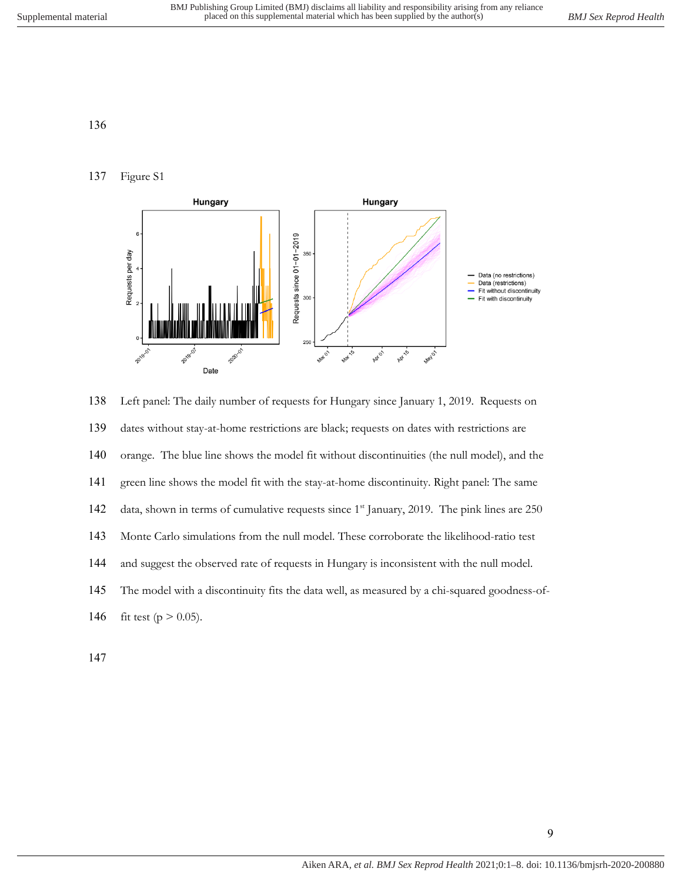## Figure S1



 Left panel: The daily number of requests for Hungary since January 1, 2019. Requests on dates without stay-at-home restrictions are black; requests on dates with restrictions are orange. The blue line shows the model fit without discontinuities (the null model), and the green line shows the model fit with the stay-at-home discontinuity. Right panel: The same 142 data, shown in terms of cumulative requests since 1<sup>st</sup> January, 2019. The pink lines are 250 Monte Carlo simulations from the null model. These corroborate the likelihood-ratio test and suggest the observed rate of requests in Hungary is inconsistent with the null model. The model with a discontinuity fits the data well, as measured by a chi-squared goodness-of-146 fit test ( $p > 0.05$ ).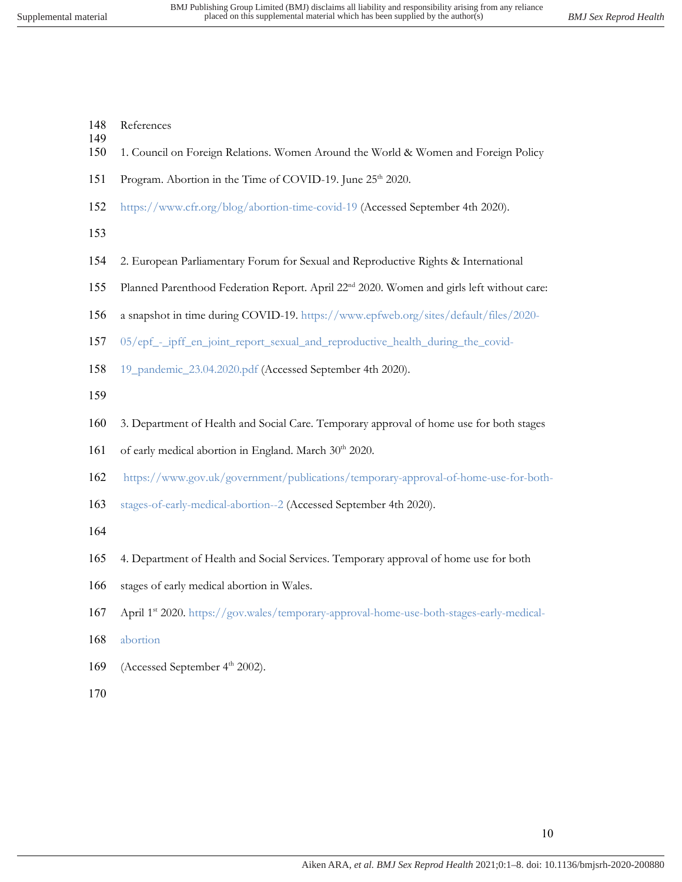- References
- 1. Council on Foreign Relations. Women Around the World & Women and Foreign Policy
- 151 Program. Abortion in the Time of COVID-19. June 25<sup>th</sup> 2020.
- https://www.cfr.org/blog/abortion-time-covid-19 (Accessed September 4th 2020).
- 

- 2. European Parliamentary Forum for Sexual and Reproductive Rights & International
- 155 Planned Parenthood Federation Report. April 22<sup>nd</sup> 2020. Women and girls left without care:
- a snapshot in time during COVID-19. https://www.epfweb.org/sites/default/files/2020-
- 05/epf\_-\_ipff\_en\_joint\_report\_sexual\_and\_reproductive\_health\_during\_the\_covid-
- 19\_pandemic\_23.04.2020.pdf (Accessed September 4th 2020).
- 
- 3. Department of Health and Social Care. Temporary approval of home use for both stages
- 161 of early medical abortion in England. March 30<sup>th</sup> 2020.
- https://www.gov.uk/government/publications/temporary-approval-of-home-use-for-both-
- stages-of-early-medical-abortion--2 (Accessed September 4th 2020).
- 
- 4. Department of Health and Social Services. Temporary approval of home use for both
- stages of early medical abortion in Wales.
- 167 April 1st 2020. https://gov.wales/temporary-approval-home-use-both-stages-early-medical-
- abortion
- 169 (Accessed September 4<sup>th</sup> 2002).
-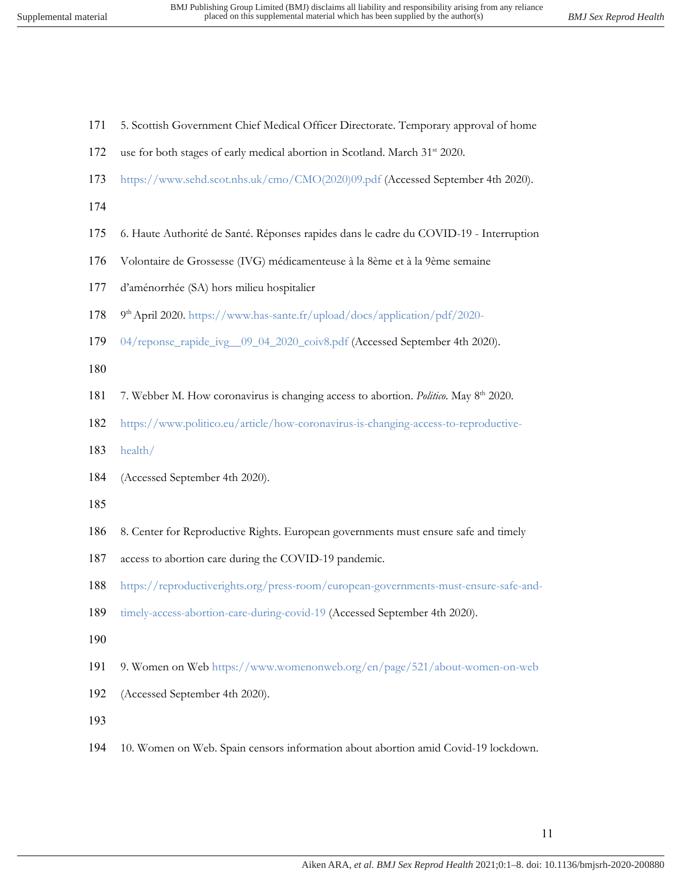- 5. Scottish Government Chief Medical Officer Directorate. Temporary approval of home
- 172 use for both stages of early medical abortion in Scotland. March 31<sup>st</sup> 2020.
- https://www.sehd.scot.nhs.uk/cmo/CMO(2020)09.pdf (Accessed September 4th 2020).
- 
- 6. Haute Authorité de Santé. Réponses rapides dans le cadre du COVID-19 Interruption
- Volontaire de Grossesse (IVG) médicamenteuse à la 8ème et à la 9ème semaine
- d'aménorrhée (SA) hors milieu hospitalier
- 178 9<sup>th</sup> April 2020. https://www.has-sante.fr/upload/docs/application/pdf/2020-
- 04/reponse\_rapide\_ivg\_\_09\_04\_2020\_coiv8.pdf (Accessed September 4th 2020).
- 
- 7. Webber M. How coronavirus is changing access to abortion. *Politico*. May 8th 2020.
- https://www.politico.eu/article/how-coronavirus-is-changing-access-to-reproductive-
- health/
- (Accessed September 4th 2020).
- 
- 8. Center for Reproductive Rights. European governments must ensure safe and timely
- access to abortion care during the COVID-19 pandemic.
- https://reproductiverights.org/press-room/european-governments-must-ensure-safe-and-
- timely-access-abortion-care-during-covid-19 (Accessed September 4th 2020).
- 
- 9. Women on Web https://www.womenonweb.org/en/page/521/about-women-on-web
- (Accessed September 4th 2020).
- 
- 10. Women on Web. Spain censors information about abortion amid Covid-19 lockdown.